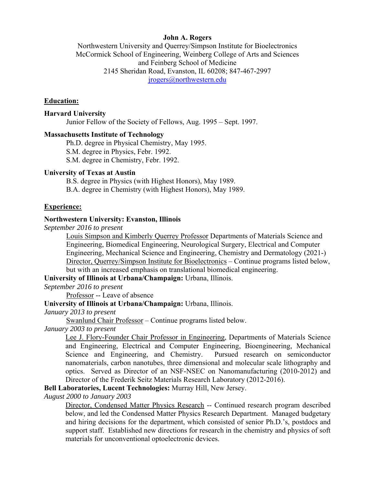# **John A. Rogers**

Northwestern University and Querrey/Simpson Institute for Bioelectronics McCormick School of Engineering, Weinberg College of Arts and Sciences and Feinberg School of Medicine 2145 Sheridan Road, Evanston, IL 60208; 847-467-2997 jrogers@northwestern.edu

## **Education:**

### **Harvard University**

Junior Fellow of the Society of Fellows, Aug. 1995 – Sept. 1997.

### **Massachusetts Institute of Technology**

 Ph.D. degree in Physical Chemistry, May 1995. S.M. degree in Physics, Febr. 1992. S.M. degree in Chemistry, Febr. 1992.

#### **University of Texas at Austin**

 B.S. degree in Physics (with Highest Honors), May 1989. B.A. degree in Chemistry (with Highest Honors), May 1989.

## **Experience:**

#### **Northwestern University: Evanston, Illinois**

*September 2016 to present* 

Louis Simpson and Kimberly Querrey Professor Departments of Materials Science and Engineering, Biomedical Engineering, Neurological Surgery, Electrical and Computer Engineering, Mechanical Science and Engineering, Chemistry and Dermatology (2021-) Director, Querrey/Simpson Institute for Bioelectronics – Continue programs listed below, but with an increased emphasis on translational biomedical engineering.

**University of Illinois at Urbana/Champaign:** Urbana, Illinois.

*September 2016 to present* 

Professor -- Leave of absence

**University of Illinois at Urbana/Champaign:** Urbana, Illinois.

#### *January 2013 to present*

Swanlund Chair Professor – Continue programs listed below.

#### *January 2003 to present*

Lee J. Flory-Founder Chair Professor in Engineering, Departments of Materials Science and Engineering, Electrical and Computer Engineering, Bioengineering, Mechanical Science and Engineering, and Chemistry. Pursued research on semiconductor nanomaterials, carbon nanotubes, three dimensional and molecular scale lithography and optics. Served as Director of an NSF-NSEC on Nanomanufacturing (2010-2012) and Director of the Frederik Seitz Materials Research Laboratory (2012-2016).

**Bell Laboratories, Lucent Technologies:** Murray Hill, New Jersey.

*August 2000 to January 2003* 

Director, Condensed Matter Physics Research -- Continued research program described below, and led the Condensed Matter Physics Research Department. Managed budgetary and hiring decisions for the department, which consisted of senior Ph.D.'s, postdocs and support staff. Established new directions for research in the chemistry and physics of soft materials for unconventional optoelectronic devices.